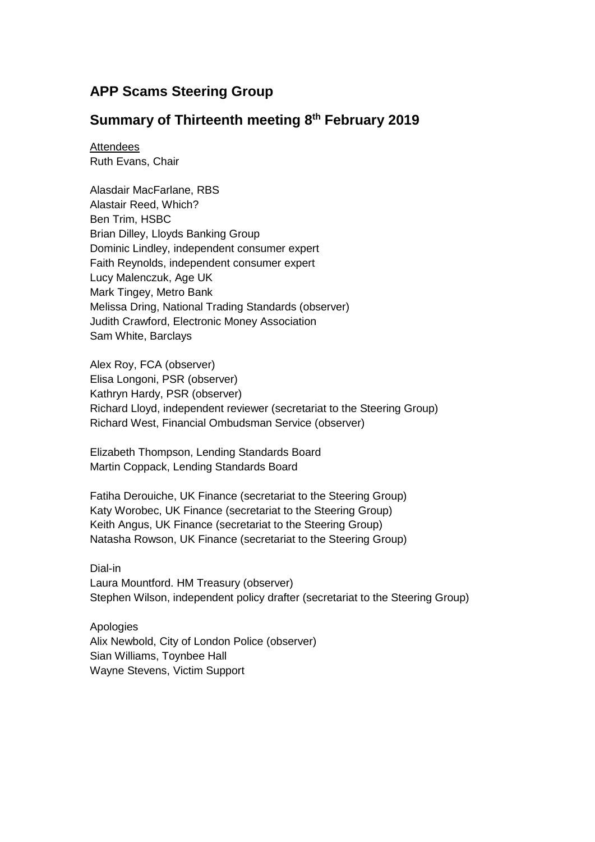# **APP Scams Steering Group**

## **Summary of Thirteenth meeting 8 th February 2019**

**Attendees** Ruth Evans, Chair

Alasdair MacFarlane, RBS Alastair Reed, Which? Ben Trim, HSBC Brian Dilley, Lloyds Banking Group Dominic Lindley, independent consumer expert Faith Reynolds, independent consumer expert Lucy Malenczuk, Age UK Mark Tingey, Metro Bank Melissa Dring, National Trading Standards (observer) Judith Crawford, Electronic Money Association Sam White, Barclays

Alex Roy, FCA (observer) Elisa Longoni, PSR (observer) Kathryn Hardy, PSR (observer) Richard Lloyd, independent reviewer (secretariat to the Steering Group) Richard West, Financial Ombudsman Service (observer)

Elizabeth Thompson, Lending Standards Board Martin Coppack, Lending Standards Board

Fatiha Derouiche, UK Finance (secretariat to the Steering Group) Katy Worobec, UK Finance (secretariat to the Steering Group) Keith Angus, UK Finance (secretariat to the Steering Group) Natasha Rowson, UK Finance (secretariat to the Steering Group)

Dial-in Laura Mountford. HM Treasury (observer) Stephen Wilson, independent policy drafter (secretariat to the Steering Group)

Apologies Alix Newbold, City of London Police (observer) Sian Williams, Toynbee Hall Wayne Stevens, Victim Support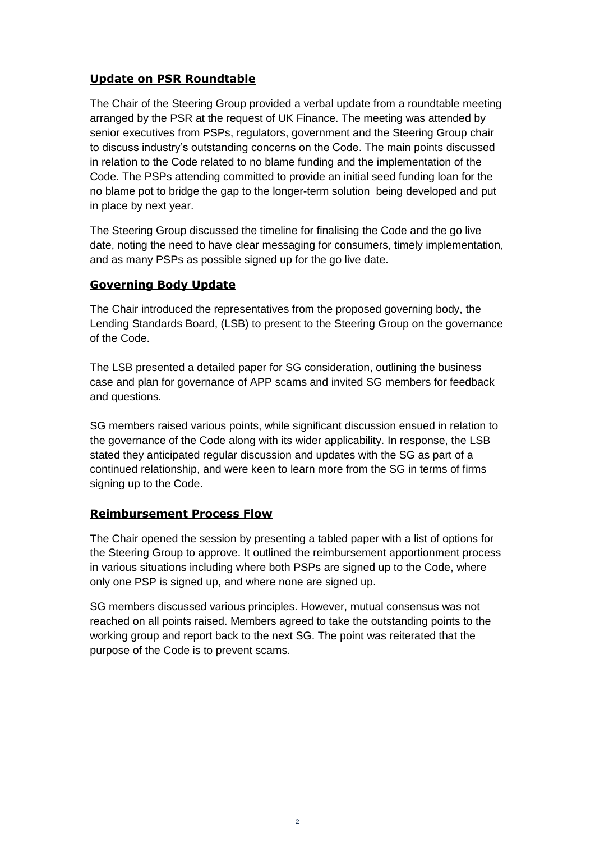## **Update on PSR Roundtable**

The Chair of the Steering Group provided a verbal update from a roundtable meeting arranged by the PSR at the request of UK Finance. The meeting was attended by senior executives from PSPs, regulators, government and the Steering Group chair to discuss industry's outstanding concerns on the Code. The main points discussed in relation to the Code related to no blame funding and the implementation of the Code. The PSPs attending committed to provide an initial seed funding loan for the no blame pot to bridge the gap to the longer-term solution being developed and put in place by next year.

The Steering Group discussed the timeline for finalising the Code and the go live date, noting the need to have clear messaging for consumers, timely implementation, and as many PSPs as possible signed up for the go live date.

#### **Governing Body Update**

The Chair introduced the representatives from the proposed governing body, the Lending Standards Board, (LSB) to present to the Steering Group on the governance of the Code.

The LSB presented a detailed paper for SG consideration, outlining the business case and plan for governance of APP scams and invited SG members for feedback and questions.

SG members raised various points, while significant discussion ensued in relation to the governance of the Code along with its wider applicability. In response, the LSB stated they anticipated regular discussion and updates with the SG as part of a continued relationship, and were keen to learn more from the SG in terms of firms signing up to the Code.

#### **Reimbursement Process Flow**

The Chair opened the session by presenting a tabled paper with a list of options for the Steering Group to approve. It outlined the reimbursement apportionment process in various situations including where both PSPs are signed up to the Code, where only one PSP is signed up, and where none are signed up.

SG members discussed various principles. However, mutual consensus was not reached on all points raised. Members agreed to take the outstanding points to the working group and report back to the next SG. The point was reiterated that the purpose of the Code is to prevent scams.